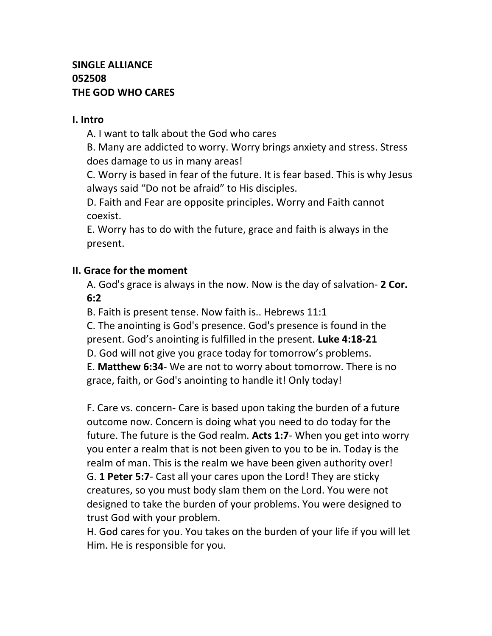# **SINGLE ALLIANCE 052508 THE GOD WHO CARES**

#### **I. Intro**

A. I want to talk about the God who cares

B. Many are addicted to worry. Worry brings anxiety and stress. Stress does damage to us in many areas!

C. Worry is based in fear of the future. It is fear based. This is why Jesus always said "Do not be afraid" to His disciples.

D. Faith and Fear are opposite principles. Worry and Faith cannot coexist.

E. Worry has to do with the future, grace and faith is always in the present.

#### **II. Grace for the moment**

A. God's grace is always in the now. Now is the day of salvation- **2 Cor. 6:2**

B. Faith is present tense. Now faith is.. Hebrews 11:1

C. The anointing is God's presence. God's presence is found in the present. God's anointing is fulfilled in the present. **Luke 4:18-21**

D. God will not give you grace today for tomorrow's problems.

E. **Matthew 6:34**- We are not to worry about tomorrow. There is no grace, faith, or God's anointing to handle it! Only today!

F. Care vs. concern- Care is based upon taking the burden of a future outcome now. Concern is doing what you need to do today for the future. The future is the God realm. **Acts 1:7**- When you get into worry you enter a realm that is not been given to you to be in. Today is the realm of man. This is the realm we have been given authority over! G. **1 Peter 5:7**- Cast all your cares upon the Lord! They are sticky creatures, so you must body slam them on the Lord. You were not designed to take the burden of your problems. You were designed to trust God with your problem.

H. God cares for you. You takes on the burden of your life if you will let Him. He is responsible for you.